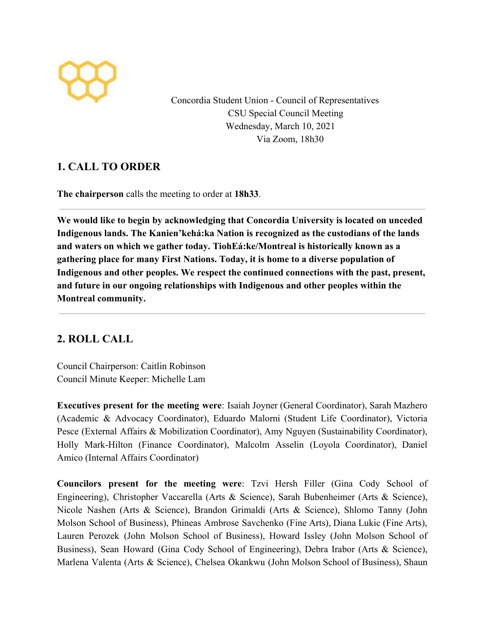

Concordia Student Union - Council of Representatives CSU Special Council Meeting Wednesday, March 10, 2021 Via Zoom, 18h30

# **1. CALL TO ORDER**

**The chairperson** calls the meeting to order at **18h33**.

**We would like to begin by acknowledging that Concordia University is located on unceded Indigenous lands. The Kanien'kehá:ka Nation is recognized as the custodians of the lands and waters on which we gather today. TiohEá:ke/Montreal is historically known as a gathering place for many First Nations. Today, it is home to a diverse population of Indigenous and other peoples. We respect the continued connections with the past, present, and future in our ongoing relationships with Indigenous and other peoples within the Montreal community.**

# **2. ROLL CALL**

Council Chairperson: Caitlin Robinson Council Minute Keeper: Michelle Lam

**Executives present for the meeting were**: Isaiah Joyner (General Coordinator), Sarah Mazhero (Academic & Advocacy Coordinator), Eduardo Malorni (Student Life Coordinator), Victoria Pesce (External Affairs & Mobilization Coordinator), Amy Nguyen (Sustainability Coordinator), Holly Mark-Hilton (Finance Coordinator), Malcolm Asselin (Loyola Coordinator), Daniel Amico (Internal Affairs Coordinator)

**Councilors present for the meeting were**: Tzvi Hersh Filler (Gina Cody School of Engineering), Christopher Vaccarella (Arts & Science), Sarah Bubenheimer (Arts & Science), Nicole Nashen (Arts & Science), Brandon Grimaldi (Arts & Science), Shlomo Tanny (John Molson School of Business), Phineas Ambrose Savchenko (Fine Arts), Diana Lukic (Fine Arts), Lauren Perozek (John Molson School of Business), Howard Issley (John Molson School of Business), Sean Howard (Gina Cody School of Engineering), Debra Irabor (Arts & Science), Marlena Valenta (Arts & Science), Chelsea Okankwu (John Molson School of Business), Shaun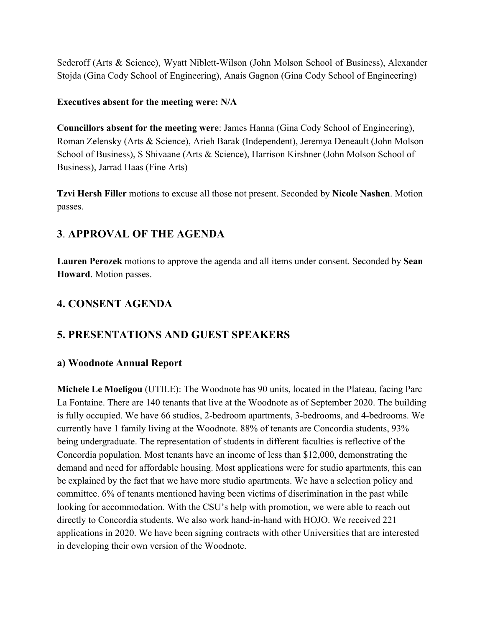Sederoff (Arts & Science), Wyatt Niblett-Wilson (John Molson School of Business), Alexander Stojda (Gina Cody School of Engineering), Anais Gagnon (Gina Cody School of Engineering)

#### **Executives absent for the meeting were: N/A**

**Councillors absent for the meeting were**: James Hanna (Gina Cody School of Engineering), Roman Zelensky (Arts & Science), Arieh Barak (Independent), Jeremya Deneault (John Molson School of Business), S Shivaane (Arts & Science), Harrison Kirshner (John Molson School of Business), Jarrad Haas (Fine Arts)

**Tzvi Hersh Filler** motions to excuse all those not present. Seconded by **Nicole Nashen**. Motion passes.

# **3**. **APPROVAL OF THE AGENDA**

**Lauren Perozek** motions to approve the agenda and all items under consent. Seconded by **Sean Howard**. Motion passes.

# **4. CONSENT AGENDA**

## **5. PRESENTATIONS AND GUEST SPEAKERS**

### **a) Woodnote Annual Report**

**Michele Le Moeligou** (UTILE): The Woodnote has 90 units, located in the Plateau, facing Parc La Fontaine. There are 140 tenants that live at the Woodnote as of September 2020. The building is fully occupied. We have 66 studios, 2-bedroom apartments, 3-bedrooms, and 4-bedrooms. We currently have 1 family living at the Woodnote. 88% of tenants are Concordia students, 93% being undergraduate. The representation of students in different faculties is reflective of the Concordia population. Most tenants have an income of less than \$12,000, demonstrating the demand and need for affordable housing. Most applications were for studio apartments, this can be explained by the fact that we have more studio apartments. We have a selection policy and committee. 6% of tenants mentioned having been victims of discrimination in the past while looking for accommodation. With the CSU's help with promotion, we were able to reach out directly to Concordia students. We also work hand-in-hand with HOJO. We received 221 applications in 2020. We have been signing contracts with other Universities that are interested in developing their own version of the Woodnote.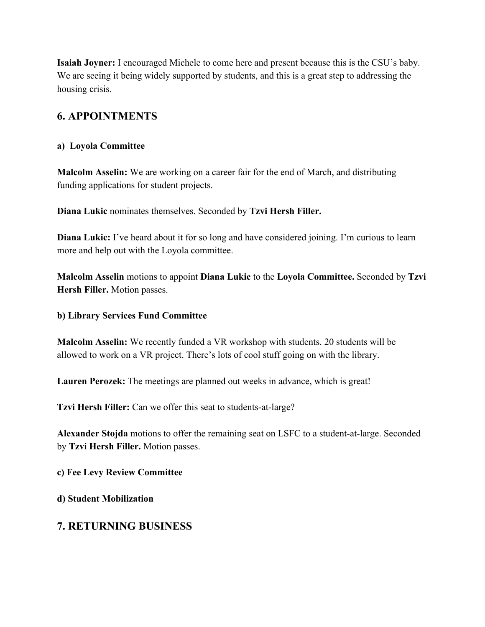**Isaiah Joyner:** I encouraged Michele to come here and present because this is the CSU's baby. We are seeing it being widely supported by students, and this is a great step to addressing the housing crisis.

# **6. APPOINTMENTS**

### **a) Loyola Committee**

**Malcolm Asselin:** We are working on a career fair for the end of March, and distributing funding applications for student projects.

**Diana Lukic** nominates themselves. Seconded by **Tzvi Hersh Filler.**

**Diana Lukic:** I've heard about it for so long and have considered joining. I'm curious to learn more and help out with the Loyola committee.

**Malcolm Asselin** motions to appoint **Diana Lukic** to the **Loyola Committee.** Seconded by **Tzvi Hersh Filler.** Motion passes.

#### **b) Library Services Fund Committee**

**Malcolm Asselin:** We recently funded a VR workshop with students. 20 students will be allowed to work on a VR project. There's lots of cool stuff going on with the library.

Lauren Perozek: The meetings are planned out weeks in advance, which is great!

**Tzvi Hersh Filler:** Can we offer this seat to students-at-large?

**Alexander Stojda** motions to offer the remaining seat on LSFC to a student-at-large. Seconded by **Tzvi Hersh Filler.** Motion passes.

**c) Fee Levy Review Committee**

**d) Student Mobilization**

## **7. RETURNING BUSINESS**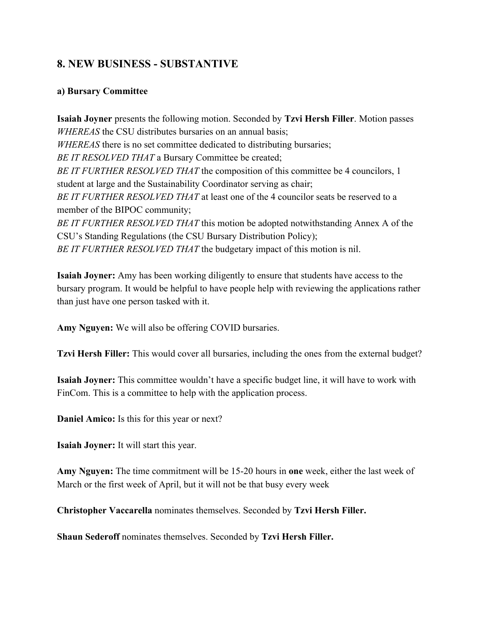## **8. NEW BUSINESS - SUBSTANTIVE**

#### **a) Bursary Committee**

**Isaiah Joyner** presents the following motion. Seconded by **Tzvi Hersh Filler**. Motion passes *WHEREAS* the CSU distributes bursaries on an annual basis; *WHEREAS* there is no set committee dedicated to distributing bursaries; *BE IT RESOLVED THAT* a Bursary Committee be created; *BE IT FURTHER RESOLVED THAT* the composition of this committee be 4 councilors, 1 student at large and the Sustainability Coordinator serving as chair; *BE IT FURTHER RESOLVED THAT* at least one of the 4 councilor seats be reserved to a member of the BIPOC community; *BE IT FURTHER RESOLVED THAT* this motion be adopted notwithstanding Annex A of the CSU's Standing Regulations (the CSU Bursary Distribution Policy); *BE IT FURTHER RESOLVED THAT* the budgetary impact of this motion is nil.

**Isaiah Joyner:** Amy has been working diligently to ensure that students have access to the bursary program. It would be helpful to have people help with reviewing the applications rather than just have one person tasked with it.

**Amy Nguyen:** We will also be offering COVID bursaries.

**Tzvi Hersh Filler:** This would cover all bursaries, including the ones from the external budget?

**Isaiah Joyner:** This committee wouldn't have a specific budget line, it will have to work with FinCom. This is a committee to help with the application process.

**Daniel Amico:** Is this for this year or next?

**Isaiah Joyner:** It will start this year.

**Amy Nguyen:** The time commitment will be 15-20 hours in **one** week, either the last week of March or the first week of April, but it will not be that busy every week

**Christopher Vaccarella** nominates themselves. Seconded by **Tzvi Hersh Filler.**

**Shaun Sederoff** nominates themselves. Seconded by **Tzvi Hersh Filler.**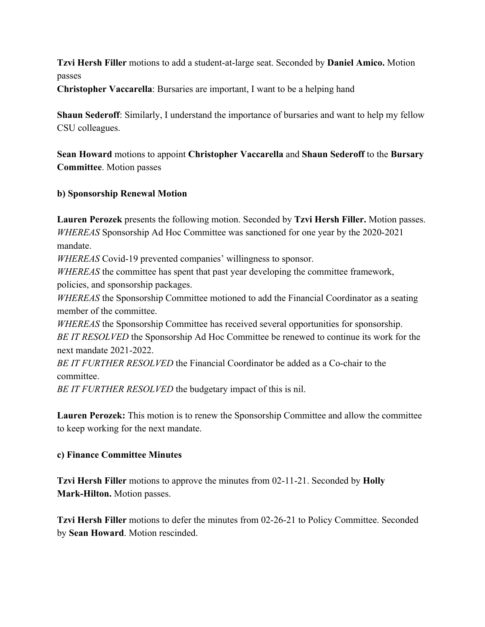**Tzvi Hersh Filler** motions to add a student-at-large seat. Seconded by **Daniel Amico.** Motion passes

**Christopher Vaccarella**: Bursaries are important, I want to be a helping hand

**Shaun Sederoff**: Similarly, I understand the importance of bursaries and want to help my fellow CSU colleagues.

**Sean Howard** motions to appoint **Christopher Vaccarella** and **Shaun Sederoff** to the **Bursary Committee**. Motion passes

### **b) Sponsorship Renewal Motion**

**Lauren Perozek** presents the following motion. Seconded by **Tzvi Hersh Filler.** Motion passes. *WHEREAS* Sponsorship Ad Hoc Committee was sanctioned for one year by the 2020-2021 mandate.

*WHEREAS* Covid-19 prevented companies' willingness to sponsor.

*WHEREAS* the committee has spent that past year developing the committee framework, policies, and sponsorship packages.

*WHEREAS* the Sponsorship Committee motioned to add the Financial Coordinator as a seating member of the committee.

*WHEREAS* the Sponsorship Committee has received several opportunities for sponsorship. *BE IT RESOLVED* the Sponsorship Ad Hoc Committee be renewed to continue its work for the next mandate 2021-2022.

*BE IT FURTHER RESOLVED* the Financial Coordinator be added as a Co-chair to the committee.

*BE IT FURTHER RESOLVED* the budgetary impact of this is nil.

**Lauren Perozek:** This motion is to renew the Sponsorship Committee and allow the committee to keep working for the next mandate.

### **c) Finance Committee Minutes**

**Tzvi Hersh Filler** motions to approve the minutes from 02-11-21. Seconded by **Holly Mark-Hilton.** Motion passes.

**Tzvi Hersh Filler** motions to defer the minutes from 02-26-21 to Policy Committee. Seconded by **Sean Howard**. Motion rescinded.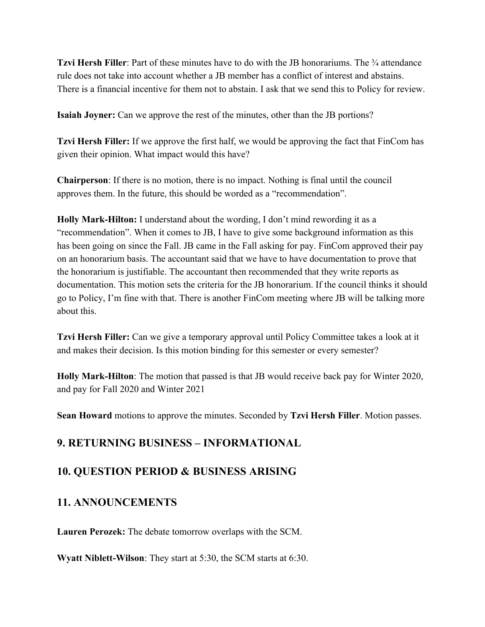**Tzvi Hersh Filler**: Part of these minutes have to do with the JB honorariums. The <sup>3</sup>/4 attendance rule does not take into account whether a JB member has a conflict of interest and abstains. There is a financial incentive for them not to abstain. I ask that we send this to Policy for review.

**Isaiah Joyner:** Can we approve the rest of the minutes, other than the JB portions?

**Tzvi Hersh Filler:** If we approve the first half, we would be approving the fact that FinCom has given their opinion. What impact would this have?

**Chairperson**: If there is no motion, there is no impact. Nothing is final until the council approves them. In the future, this should be worded as a "recommendation".

**Holly Mark-Hilton:** I understand about the wording, I don't mind rewording it as a "recommendation". When it comes to JB, I have to give some background information as this has been going on since the Fall. JB came in the Fall asking for pay. FinCom approved their pay on an honorarium basis. The accountant said that we have to have documentation to prove that the honorarium is justifiable. The accountant then recommended that they write reports as documentation. This motion sets the criteria for the JB honorarium. If the council thinks it should go to Policy, I'm fine with that. There is another FinCom meeting where JB will be talking more about this.

**Tzvi Hersh Filler:** Can we give a temporary approval until Policy Committee takes a look at it and makes their decision. Is this motion binding for this semester or every semester?

**Holly Mark-Hilton**: The motion that passed is that JB would receive back pay for Winter 2020, and pay for Fall 2020 and Winter 2021

**Sean Howard** motions to approve the minutes. Seconded by **Tzvi Hersh Filler**. Motion passes.

## **9. RETURNING BUSINESS – INFORMATIONAL**

## **10. QUESTION PERIOD & BUSINESS ARISING**

## **11. ANNOUNCEMENTS**

**Lauren Perozek:** The debate tomorrow overlaps with the SCM.

**Wyatt Niblett-Wilson**: They start at 5:30, the SCM starts at 6:30.